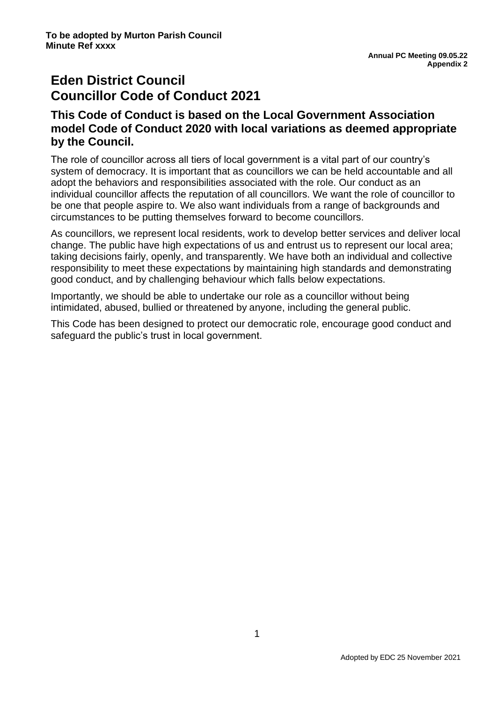# **Eden District Council Councillor Code of Conduct 2021**

## **This Code of Conduct is based on the Local Government Association model Code of Conduct 2020 with local variations as deemed appropriate by the Council.**

The role of councillor across all tiers of local government is a vital part of our country's system of democracy. It is important that as councillors we can be held accountable and all adopt the behaviors and responsibilities associated with the role. Our conduct as an individual councillor affects the reputation of all councillors. We want the role of councillor to be one that people aspire to. We also want individuals from a range of backgrounds and circumstances to be putting themselves forward to become councillors.

As councillors, we represent local residents, work to develop better services and deliver local change. The public have high expectations of us and entrust us to represent our local area; taking decisions fairly, openly, and transparently. We have both an individual and collective responsibility to meet these expectations by maintaining high standards and demonstrating good conduct, and by challenging behaviour which falls below expectations.

Importantly, we should be able to undertake our role as a councillor without being intimidated, abused, bullied or threatened by anyone, including the general public.

This Code has been designed to protect our democratic role, encourage good conduct and safeguard the public's trust in local government.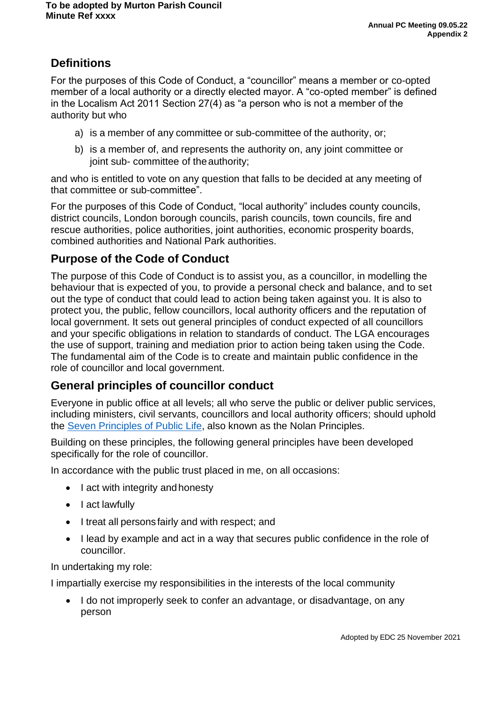# **Definitions**

For the purposes of this Code of Conduct, a "councillor" means a member or co-opted member of a local authority or a directly elected mayor. A "co-opted member" is defined in the Localism Act 2011 Section 27(4) as "a person who is not a member of the authority but who

- a) is a member of any committee or sub-committee of the authority, or;
- b) is a member of, and represents the authority on, any joint committee or joint sub- committee of the authority;

and who is entitled to vote on any question that falls to be decided at any meeting of that committee or sub-committee".

For the purposes of this Code of Conduct, "local authority" includes county councils, district councils, London borough councils, parish councils, town councils, fire and rescue authorities, police authorities, joint authorities, economic prosperity boards, combined authorities and National Park authorities.

## **Purpose of the Code of Conduct**

The purpose of this Code of Conduct is to assist you, as a councillor, in modelling the behaviour that is expected of you, to provide a personal check and balance, and to set out the type of conduct that could lead to action being taken against you. It is also to protect you, the public, fellow councillors, local authority officers and the reputation of local government. It sets out general principles of conduct expected of all councillors and your specific obligations in relation to standards of conduct. The LGA encourages the use of support, training and mediation prior to action being taken using the Code. The fundamental aim of the Code is to create and maintain public confidence in the role of councillor and local government.

## **General principles of councillor conduct**

Everyone in public office at all levels; all who serve the public or deliver public services, including ministers, civil servants, councillors and local authority officers; should uphold the Seven [Principles](https://www.gov.uk/government/publications/the-7-principles-of-public-life/the-7-principles-of-public-life--2) of Public Life, also known as the Nolan Principles.

Building on these principles, the following general principles have been developed specifically for the role of councillor.

In accordance with the public trust placed in me, on all occasions:

- I act with integrity and honesty
- I act lawfully
- I treat all persons fairly and with respect; and
- I lead by example and act in a way that secures public confidence in the role of councillor.

In undertaking my role:

I impartially exercise my responsibilities in the interests of the local community

• I do not improperly seek to confer an advantage, or disadvantage, on any person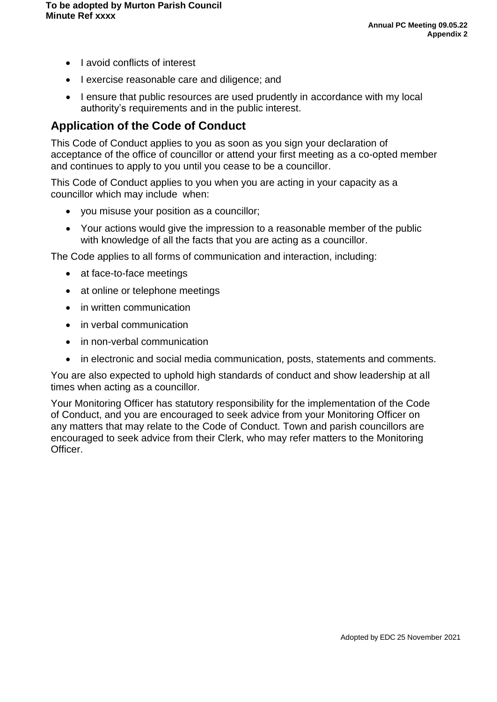- Lavoid conflicts of interest
- I exercise reasonable care and diligence; and
- I ensure that public resources are used prudently in accordance with my local authority's requirements and in the public interest.

## **Application of the Code of Conduct**

This Code of Conduct applies to you as soon as you sign your declaration of acceptance of the office of councillor or attend your first meeting as a co-opted member and continues to apply to you until you cease to be a councillor.

This Code of Conduct applies to you when you are acting in your capacity as a councillor which may include when:

- you misuse your position as a councillor;
- Your actions would give the impression to a reasonable member of the public with knowledge of all the facts that you are acting as a councillor.

The Code applies to all forms of communication and interaction, including:

- at face-to-face meetings
- at online or telephone meetings
- in written communication
- in verbal communication
- in non-verbal communication
- in electronic and social media communication, posts, statements and comments.

You are also expected to uphold high standards of conduct and show leadership at all times when acting as a councillor.

Your Monitoring Officer has statutory responsibility for the implementation of the Code of Conduct, and you are encouraged to seek advice from your Monitoring Officer on any matters that may relate to the Code of Conduct. Town and parish councillors are encouraged to seek advice from their Clerk, who may refer matters to the Monitoring Officer.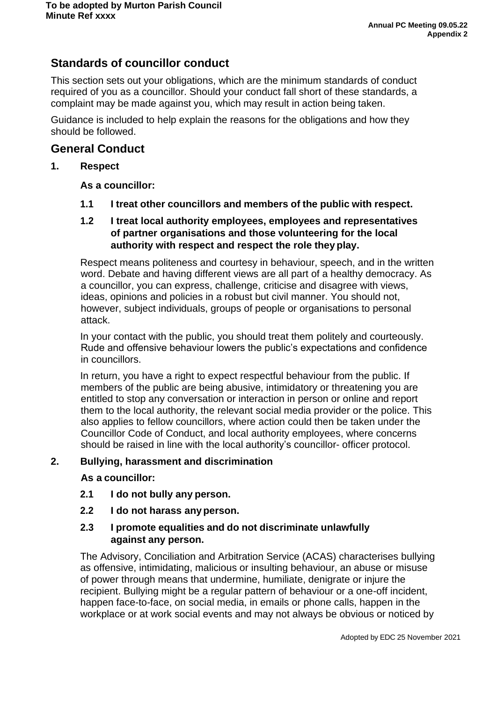## **Standards of councillor conduct**

This section sets out your obligations, which are the minimum standards of conduct required of you as a councillor. Should your conduct fall short of these standards, a complaint may be made against you, which may result in action being taken.

Guidance is included to help explain the reasons for the obligations and how they should be followed.

### **General Conduct**

### **1. Respect**

### **As a councillor:**

**1.1 I treat other councillors and members of the public with respect.**

### **1.2 I treat local authority employees, employees and representatives of partner organisations and those volunteering for the local authority with respect and respect the role they play.**

Respect means politeness and courtesy in behaviour, speech, and in the written word. Debate and having different views are all part of a healthy democracy. As a councillor, you can express, challenge, criticise and disagree with views, ideas, opinions and policies in a robust but civil manner. You should not, however, subject individuals, groups of people or organisations to personal attack.

In your contact with the public, you should treat them politely and courteously. Rude and offensive behaviour lowers the public's expectations and confidence in councillors.

In return, you have a right to expect respectful behaviour from the public. If members of the public are being abusive, intimidatory or threatening you are entitled to stop any conversation or interaction in person or online and report them to the local authority, the relevant social media provider or the police. This also applies to fellow councillors, where action could then be taken under the Councillor Code of Conduct, and local authority employees, where concerns should be raised in line with the local authority's councillor- officer protocol.

#### **2. Bullying, harassment and discrimination**

#### **As a councillor:**

- **2.1 I do not bully any person.**
- **2.2 I do not harass anyperson.**

### **2.3 I promote equalities and do not discriminate unlawfully against any person.**

The Advisory, Conciliation and Arbitration Service (ACAS) characterises bullying as offensive, intimidating, malicious or insulting behaviour, an abuse or misuse of power through means that undermine, humiliate, denigrate or injure the recipient. Bullying might be a regular pattern of behaviour or a one-off incident, happen face-to-face, on social media, in emails or phone calls, happen in the workplace or at work social events and may not always be obvious or noticed by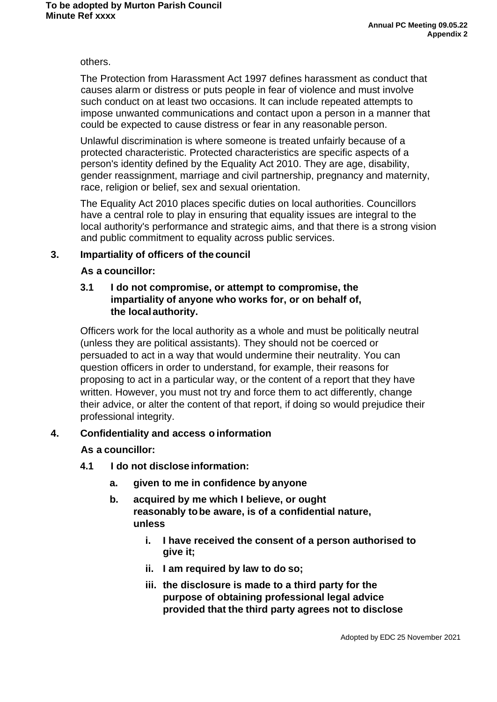#### others.

The Protection from Harassment Act 1997 defines harassment as conduct that causes alarm or distress or puts people in fear of violence and must involve such conduct on at least two occasions. It can include repeated attempts to impose unwanted communications and contact upon a person in a manner that could be expected to cause distress or fear in any reasonable person.

Unlawful discrimination is where someone is treated unfairly because of a protected characteristic. Protected characteristics are specific aspects of a person's identity defined by the Equality Act 2010. They are age, disability, gender reassignment, marriage and civil partnership, pregnancy and maternity, race, religion or belief, sex and sexual orientation.

The Equality Act 2010 places specific duties on local authorities. Councillors have a central role to play in ensuring that equality issues are integral to the local authority's performance and strategic aims, and that there is a strong vision and public commitment to equality across public services.

### **3. Impartiality of officers of the council**

#### **As a councillor:**

### **3.1 I do not compromise, or attempt to compromise, the impartiality of anyone who works for, or on behalf of, the localauthority.**

Officers work for the local authority as a whole and must be politically neutral (unless they are political assistants). They should not be coerced or persuaded to act in a way that would undermine their neutrality. You can question officers in order to understand, for example, their reasons for proposing to act in a particular way, or the content of a report that they have written. However, you must not try and force them to act differently, change their advice, or alter the content of that report, if doing so would prejudice their professional integrity.

### **4. Confidentiality and access o information**

### **As a councillor:**

- **4.1 I do not disclose information:**
	- **a. given to me in confidence by anyone**
	- **b. acquired by me which I believe, or ought reasonably tobe aware, is of a confidential nature, unless**
		- **i. I have received the consent of a person authorised to give it;**
		- **ii. I am required by law to do so;**
		- **iii. the disclosure is made to a third party for the purpose of obtaining professional legal advice provided that the third party agrees not to disclose**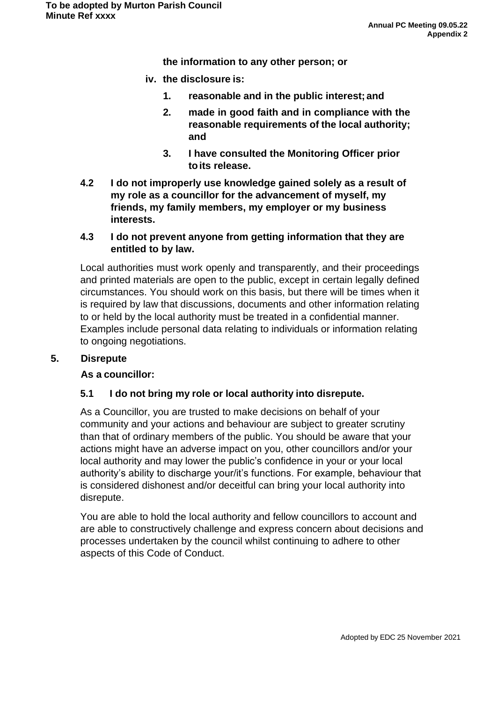**the information to any other person; or**

- **iv. the disclosure is:**
	- **1. reasonable and in the public interest; and**
	- **2. made in good faith and in compliance with the reasonable requirements of the local authority; and**
	- **3. I have consulted the Monitoring Officer prior toits release.**
- **4.2 I do not improperly use knowledge gained solely as a result of my role as a councillor for the advancement of myself, my friends, my family members, my employer or my business interests.**

#### **4.3 I do not prevent anyone from getting information that they are entitled to by law.**

Local authorities must work openly and transparently, and their proceedings and printed materials are open to the public, except in certain legally defined circumstances. You should work on this basis, but there will be times when it is required by law that discussions, documents and other information relating to or held by the local authority must be treated in a confidential manner. Examples include personal data relating to individuals or information relating to ongoing negotiations.

#### **5. Disrepute**

#### **As a councillor:**

#### **5.1 I do not bring my role or local authority into disrepute.**

As a Councillor, you are trusted to make decisions on behalf of your community and your actions and behaviour are subject to greater scrutiny than that of ordinary members of the public. You should be aware that your actions might have an adverse impact on you, other councillors and/or your local authority and may lower the public's confidence in your or your local authority's ability to discharge your/it's functions. For example, behaviour that is considered dishonest and/or deceitful can bring your local authority into disrepute.

You are able to hold the local authority and fellow councillors to account and are able to constructively challenge and express concern about decisions and processes undertaken by the council whilst continuing to adhere to other aspects of this Code of Conduct.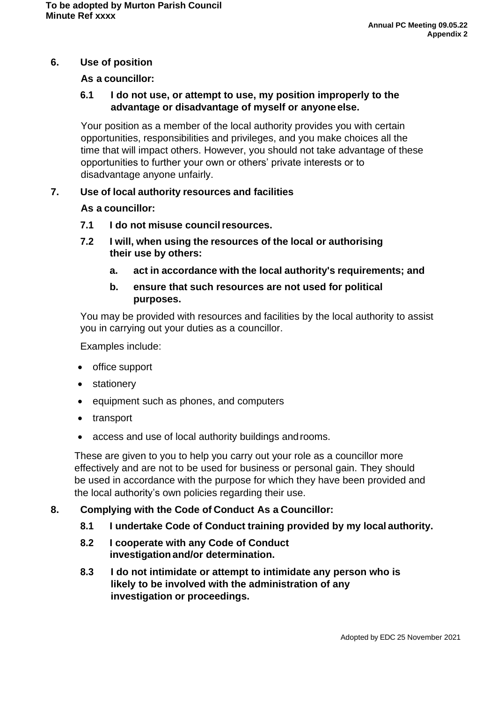### **6. Use of position**

#### **As a councillor:**

#### **6.1 I do not use, or attempt to use, my position improperly to the advantage or disadvantage of myself or anyone else.**

Your position as a member of the local authority provides you with certain opportunities, responsibilities and privileges, and you make choices all the time that will impact others. However, you should not take advantage of these opportunities to further your own or others' private interests or to disadvantage anyone unfairly.

#### **7. Use of local authority resources and facilities**

#### **As a councillor:**

- **7.1 I do not misuse councilresources.**
- **7.2 I will, when using the resources of the local or authorising their use by others:**
	- **a. act in accordance with the local authority's requirements; and**
	- **b. ensure that such resources are not used for political purposes.**

You may be provided with resources and facilities by the local authority to assist you in carrying out your duties as a councillor.

Examples include:

- office support
- stationery
- equipment such as phones, and computers
- transport
- access and use of local authority buildings androoms.

These are given to you to help you carry out your role as a councillor more effectively and are not to be used for business or personal gain. They should be used in accordance with the purpose for which they have been provided and the local authority's own policies regarding their use.

#### **8. Complying with the Code of Conduct As a Councillor:**

- **8.1 I undertake Code of Conduct training provided by my local authority.**
- **8.2 I cooperate with any Code of Conduct investigation and/or determination.**
- **8.3 I do not intimidate or attempt to intimidate any person who is likely to be involved with the administration of any investigation or proceedings.**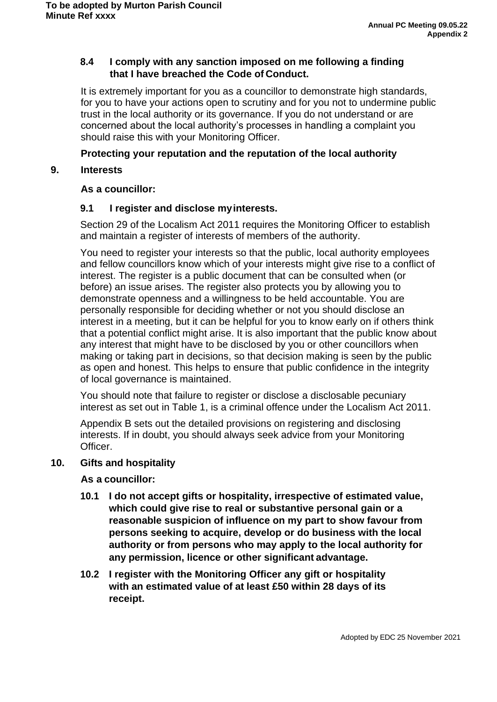### **8.4 I comply with any sanction imposed on me following a finding that I have breached the Code of Conduct.**

It is extremely important for you as a councillor to demonstrate high standards, for you to have your actions open to scrutiny and for you not to undermine public trust in the local authority or its governance. If you do not understand or are concerned about the local authority's processes in handling a complaint you should raise this with your Monitoring Officer.

### **Protecting your reputation and the reputation of the local authority**

### **9. Interests**

### **As a councillor:**

### **9.1 I register and disclose myinterests.**

Section 29 of the Localism Act 2011 requires the Monitoring Officer to establish and maintain a register of interests of members of the authority.

You need to register your interests so that the public, local authority employees and fellow councillors know which of your interests might give rise to a conflict of interest. The register is a public document that can be consulted when (or before) an issue arises. The register also protects you by allowing you to demonstrate openness and a willingness to be held accountable. You are personally responsible for deciding whether or not you should disclose an interest in a meeting, but it can be helpful for you to know early on if others think that a potential conflict might arise. It is also important that the public know about any interest that might have to be disclosed by you or other councillors when making or taking part in decisions, so that decision making is seen by the public as open and honest. This helps to ensure that public confidence in the integrity of local governance is maintained.

You should note that failure to register or disclose a disclosable pecuniary interest as set out in Table 1, is a criminal offence under the Localism Act 2011.

Appendix B sets out the detailed provisions on registering and disclosing interests. If in doubt, you should always seek advice from your Monitoring Officer.

#### **10. Gifts and hospitality**

#### **As a councillor:**

- **10.1 I do not accept gifts or hospitality, irrespective of estimated value, which could give rise to real or substantive personal gain or a reasonable suspicion of influence on my part to show favour from persons seeking to acquire, develop or do business with the local authority or from persons who may apply to the local authority for any permission, licence or other significant advantage.**
- **10.2 I register with the Monitoring Officer any gift or hospitality with an estimated value of at least £50 within 28 days of its receipt.**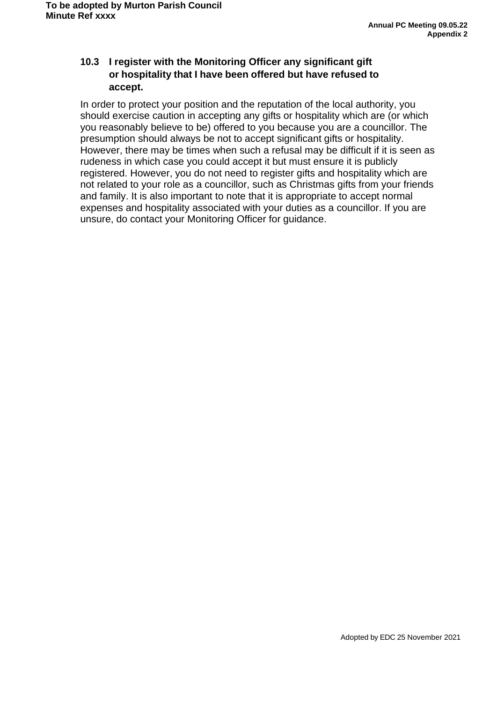### **10.3 I register with the Monitoring Officer any significant gift or hospitality that I have been offered but have refused to accept.**

In order to protect your position and the reputation of the local authority, you should exercise caution in accepting any gifts or hospitality which are (or which you reasonably believe to be) offered to you because you are a councillor. The presumption should always be not to accept significant gifts or hospitality. However, there may be times when such a refusal may be difficult if it is seen as rudeness in which case you could accept it but must ensure it is publicly registered. However, you do not need to register gifts and hospitality which are not related to your role as a councillor, such as Christmas gifts from your friends and family. It is also important to note that it is appropriate to accept normal expenses and hospitality associated with your duties as a councillor. If you are unsure, do contact your Monitoring Officer for guidance.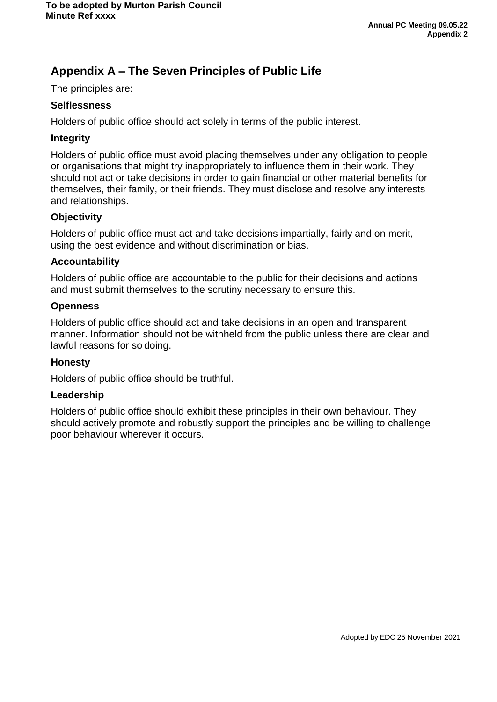# **Appendix A – The Seven Principles of Public Life**

The principles are:

#### **Selflessness**

Holders of public office should act solely in terms of the public interest.

#### **Integrity**

Holders of public office must avoid placing themselves under any obligation to people or organisations that might try inappropriately to influence them in their work. They should not act or take decisions in order to gain financial or other material benefits for themselves, their family, or their friends. They must disclose and resolve any interests and relationships.

#### **Objectivity**

Holders of public office must act and take decisions impartially, fairly and on merit, using the best evidence and without discrimination or bias.

#### **Accountability**

Holders of public office are accountable to the public for their decisions and actions and must submit themselves to the scrutiny necessary to ensure this.

#### **Openness**

Holders of public office should act and take decisions in an open and transparent manner. Information should not be withheld from the public unless there are clear and lawful reasons for so doing.

#### **Honesty**

Holders of public office should be truthful.

#### **Leadership**

Holders of public office should exhibit these principles in their own behaviour. They should actively promote and robustly support the principles and be willing to challenge poor behaviour wherever it occurs.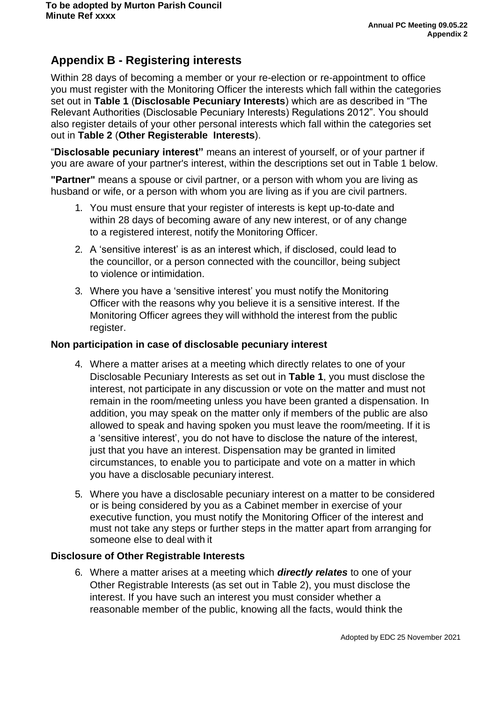# **Appendix B - Registering interests**

Within 28 days of becoming a member or your re-election or re-appointment to office you must register with the Monitoring Officer the interests which fall within the categories set out in **Table 1** (**Disclosable Pecuniary Interests**) which are as described in "The Relevant Authorities (Disclosable Pecuniary Interests) Regulations 2012". You should also register details of your other personal interests which fall within the categories set out in **Table 2** (**Other Registerable Interests**).

"**Disclosable pecuniary interest"** means an interest of yourself, or of your partner if you are aware of your partner's interest, within the descriptions set out in Table 1 below.

**"Partner"** means a spouse or civil partner, or a person with whom you are living as husband or wife, or a person with whom you are living as if you are civil partners.

- 1. You must ensure that your register of interests is kept up-to-date and within 28 days of becoming aware of any new interest, or of any change to a registered interest, notify the Monitoring Officer.
- 2. A 'sensitive interest' is as an interest which, if disclosed, could lead to the councillor, or a person connected with the councillor, being subject to violence or intimidation.
- 3. Where you have a 'sensitive interest' you must notify the Monitoring Officer with the reasons why you believe it is a sensitive interest. If the Monitoring Officer agrees they will withhold the interest from the public register.

#### **Non participation in case of disclosable pecuniary interest**

- 4. Where a matter arises at a meeting which directly relates to one of your Disclosable Pecuniary Interests as set out in **Table 1**, you must disclose the interest, not participate in any discussion or vote on the matter and must not remain in the room/meeting unless you have been granted a dispensation. In addition, you may speak on the matter only if members of the public are also allowed to speak and having spoken you must leave the room/meeting. If it is a 'sensitive interest', you do not have to disclose the nature of the interest, just that you have an interest. Dispensation may be granted in limited circumstances, to enable you to participate and vote on a matter in which you have a disclosable pecuniary interest.
- 5. Where you have a disclosable pecuniary interest on a matter to be considered or is being considered by you as a Cabinet member in exercise of your executive function, you must notify the Monitoring Officer of the interest and must not take any steps or further steps in the matter apart from arranging for someone else to deal with it

#### **Disclosure of Other Registrable Interests**

6. Where a matter arises at a meeting which *directly relates* to one of your Other Registrable Interests (as set out in Table 2), you must disclose the interest. If you have such an interest you must consider whether a reasonable member of the public, knowing all the facts, would think the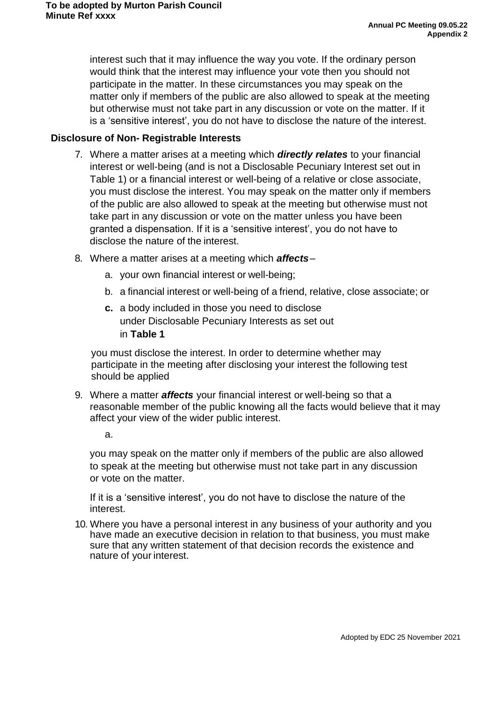interest such that it may influence the way you vote. If the ordinary person would think that the interest may influence your vote then you should not participate in the matter. In these circumstances you may speak on the matter only if members of the public are also allowed to speak at the meeting but otherwise must not take part in any discussion or vote on the matter. If it is a 'sensitive interest', you do not have to disclose the nature of the interest.

### **Disclosure of Non- Registrable Interests**

- 7. Where a matter arises at a meeting which *directly relates* to your financial interest or well-being (and is not a Disclosable Pecuniary Interest set out in Table 1) or a financial interest or well-being of a relative or close associate, you must disclose the interest. You may speak on the matter only if members of the public are also allowed to speak at the meeting but otherwise must not take part in any discussion or vote on the matter unless you have been granted a dispensation. If it is a 'sensitive interest', you do not have to disclose the nature of the interest.
- 8. Where a matter arises at a meeting which *affects*
	- a. your own financial interest or well-being;
	- b. a financial interest or well-being of a friend, relative, close associate; or
	- **c.** a body included in those you need to disclose under Disclosable Pecuniary Interests as set out in **Table 1**

you must disclose the interest. In order to determine whether may participate in the meeting after disclosing your interest the following test should be applied

9. Where a matter *affects* your financial interest or well-being so that a reasonable member of the public knowing all the facts would believe that it may affect your view of the wider public interest.

a.

you may speak on the matter only if members of the public are also allowed to speak at the meeting but otherwise must not take part in any discussion or vote on the matter.

If it is a 'sensitive interest', you do not have to disclose the nature of the interest.

10. Where you have a personal interest in any business of your authority and you have made an executive decision in relation to that business, you must make sure that any written statement of that decision records the existence and nature of your interest.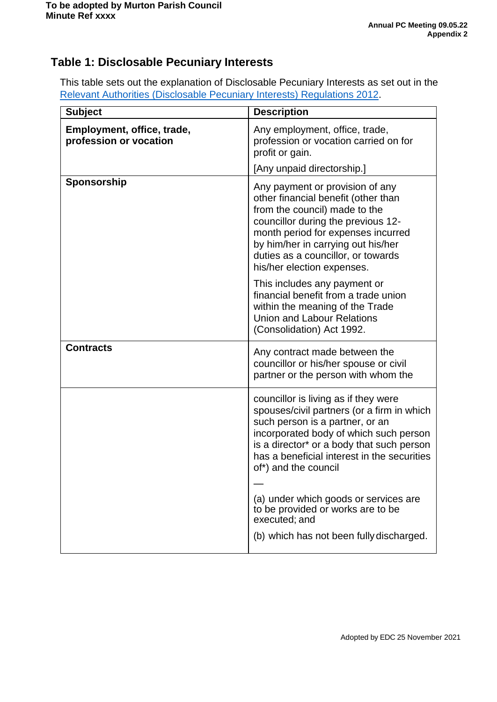# **Table 1: Disclosable Pecuniary Interests**

This table sets out the explanation of Disclosable Pecuniary Interests as set out in the Relevant [Authorities \(Disclosable](https://www.legislation.gov.uk/uksi/2012/1464/made) Pecuniary Interests) Regulations 2012.

| <b>Subject</b>                                       | <b>Description</b>                                                                                                                                                                                                                                                                                                                                                            |
|------------------------------------------------------|-------------------------------------------------------------------------------------------------------------------------------------------------------------------------------------------------------------------------------------------------------------------------------------------------------------------------------------------------------------------------------|
| Employment, office, trade,<br>profession or vocation | Any employment, office, trade,<br>profession or vocation carried on for<br>profit or gain.                                                                                                                                                                                                                                                                                    |
|                                                      | [Any unpaid directorship.]                                                                                                                                                                                                                                                                                                                                                    |
| Sponsorship                                          | Any payment or provision of any<br>other financial benefit (other than<br>from the council) made to the<br>councillor during the previous 12-<br>month period for expenses incurred<br>by him/her in carrying out his/her<br>duties as a councillor, or towards<br>his/her election expenses.                                                                                 |
|                                                      | This includes any payment or<br>financial benefit from a trade union<br>within the meaning of the Trade<br><b>Union and Labour Relations</b><br>(Consolidation) Act 1992.                                                                                                                                                                                                     |
| <b>Contracts</b>                                     | Any contract made between the<br>councillor or his/her spouse or civil<br>partner or the person with whom the                                                                                                                                                                                                                                                                 |
|                                                      | councillor is living as if they were<br>spouses/civil partners (or a firm in which<br>such person is a partner, or an<br>incorporated body of which such person<br>is a director <sup>*</sup> or a body that such person<br>has a beneficial interest in the securities<br>of*) and the council<br>(a) under which goods or services are<br>to be provided or works are to be |
|                                                      | executed; and<br>(b) which has not been fully discharged.                                                                                                                                                                                                                                                                                                                     |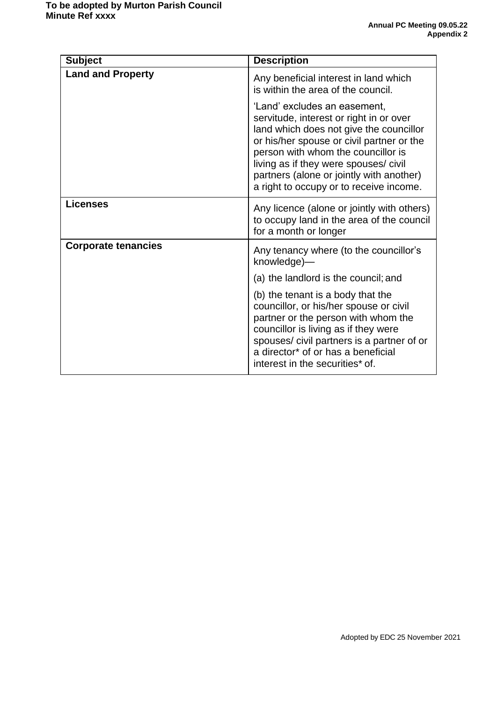| <b>Subject</b>             | <b>Description</b>                                                                                                                                                                                                                                                                                                                    |
|----------------------------|---------------------------------------------------------------------------------------------------------------------------------------------------------------------------------------------------------------------------------------------------------------------------------------------------------------------------------------|
| <b>Land and Property</b>   | Any beneficial interest in land which<br>is within the area of the council.                                                                                                                                                                                                                                                           |
|                            | 'Land' excludes an easement,<br>servitude, interest or right in or over<br>land which does not give the councillor<br>or his/her spouse or civil partner or the<br>person with whom the councillor is<br>living as if they were spouses/ civil<br>partners (alone or jointly with another)<br>a right to occupy or to receive income. |
| <b>Licenses</b>            | Any licence (alone or jointly with others)<br>to occupy land in the area of the council<br>for a month or longer                                                                                                                                                                                                                      |
| <b>Corporate tenancies</b> | Any tenancy where (to the councillor's<br>knowledge)-                                                                                                                                                                                                                                                                                 |
|                            | (a) the landlord is the council; and                                                                                                                                                                                                                                                                                                  |
|                            | (b) the tenant is a body that the<br>councillor, or his/her spouse or civil<br>partner or the person with whom the<br>councillor is living as if they were<br>spouses/civil partners is a partner of or<br>a director* of or has a beneficial<br>interest in the securities* of.                                                      |